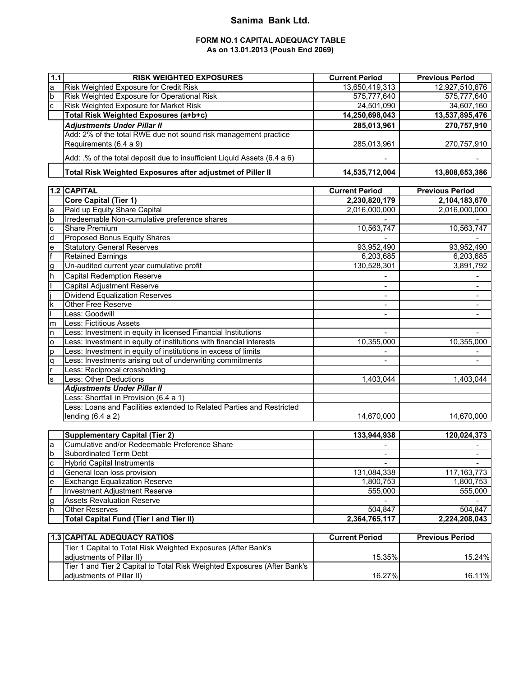## **Sanima Bank Ltd.**

### **FORM NO.1 CAPITAL ADEQUACY TABLE As on 13.01.2013 (Poush End 2069)**

| 1.1                     | <b>RISK WEIGHTED EXPOSURES</b>                                           | <b>Current Period</b>    | <b>Previous Period</b>   |
|-------------------------|--------------------------------------------------------------------------|--------------------------|--------------------------|
| a                       | Risk Weighted Exposure for Credit Risk                                   | 13,650,419,313           | 12,927,510,676           |
| $\mathsf b$             | Risk Weighted Exposure for Operational Risk                              | 575,777,640              | 575,777,640              |
| $\mathbf c$             | Risk Weighted Exposure for Market Risk                                   | 24,501,090               | 34,607,160               |
|                         | Total Risk Weighted Exposures (a+b+c)                                    | 14,250,698,043           | 13,537,895,476           |
|                         | <b>Adjustments Under Pillar II</b>                                       | 285,013,961              | 270,757,910              |
|                         | Add: 2% of the total RWE due not sound risk management practice          |                          |                          |
|                         | Requirements (6.4 a 9)                                                   | 285,013,961              | 270,757,910              |
|                         |                                                                          |                          |                          |
|                         | Add: .% of the total deposit due to insufficient Liquid Assets (6.4 a 6) |                          |                          |
|                         | Total Risk Weighted Exposures after adjustmet of Piller II               | 14,535,712,004           | 13,808,653,386           |
| $1.2$                   | <b>CAPITAL</b>                                                           | <b>Current Period</b>    | <b>Previous Period</b>   |
|                         | <b>Core Capital (Tier 1)</b>                                             | 2,230,820,179            | 2,104,183,670            |
| a                       | Paid up Equity Share Capital                                             | 2,016,000,000            | 2,016,000,000            |
| b                       | Irredeemable Non-cumulative preference shares                            |                          |                          |
| $\mathbf c$             | <b>Share Premium</b>                                                     | 10,563,747               | 10,563,747               |
| d                       | Proposed Bonus Equity Shares                                             |                          |                          |
| $\mathbf e$             | <b>Statutory General Reserves</b>                                        | 93,952,490               | 93,952,490               |
| lf                      | <b>Retained Earnings</b>                                                 | 6,203,685                | 6,203,685                |
| g                       | Un-audited current year cumulative profit                                | 130,528,301              | 3,891,792                |
| h                       | <b>Capital Redemption Reserve</b>                                        |                          |                          |
|                         | Capital Adjustment Reserve                                               |                          |                          |
|                         | <b>Dividend Equalization Reserves</b>                                    |                          |                          |
| $\overline{\mathsf{k}}$ | Other Free Reserve                                                       |                          | $\blacksquare$           |
|                         | Less: Goodwill                                                           |                          | $\overline{\phantom{a}}$ |
| m                       | <b>Less: Fictitious Assets</b>                                           |                          |                          |
| n                       | Less: Investment in equity in licensed Financial Institutions            |                          |                          |
| $\mathsf{o}$            | Less: Investment in equity of institutions with financial interests      | 10,355,000               | 10,355,000               |
| p                       | Less: Investment in equity of institutions in excess of limits           |                          |                          |
| q                       | Less: Investments arising out of underwriting commitments                | $\overline{\phantom{a}}$ | $\blacksquare$           |
|                         | Less: Reciprocal crossholding                                            |                          |                          |
| S                       | <b>Less: Other Deductions</b>                                            | 1,403,044                | 1,403,044                |
|                         | <b>Adjustments Under Pillar II</b>                                       |                          |                          |
|                         | Less: Shortfall in Provision (6.4 a 1)                                   |                          |                          |
|                         | Less: Loans and Facilities extended to Related Parties and Restricted    |                          |                          |
|                         | lending $(6.4 a 2)$                                                      | 14,670,000               | 14,670,000               |
|                         |                                                                          |                          |                          |
|                         | <b>Supplementary Capital (Tier 2)</b>                                    | 133,944,938              | 120,024,373              |
| la                      | Cumulative and/or Redeemable Preference Share                            |                          |                          |
| $\overline{b}$          | Subordinated Term Debt                                                   |                          |                          |
| c                       | <b>Hybrid Capital Instruments</b>                                        | $\blacksquare$           |                          |
| d                       | General loan loss provision                                              | 131,084,338              | 117, 163, 773            |
| e                       | <b>Exchange Equalization Reserve</b>                                     | 1,800,753                | 1,800,753                |
|                         | <b>Investment Adjustment Reserve</b>                                     | 555,000                  | 555,000                  |
| g                       | <b>Assets Revaluation Reserve</b>                                        |                          |                          |
| h                       | <b>Other Reserves</b>                                                    | 504,847                  | 504,847                  |
|                         | <b>Total Capital Fund (Tier I and Tier II)</b>                           | 2,364,765,117            | 2,224,208,043            |
|                         |                                                                          |                          |                          |
|                         | 1.3 CAPITAL ADEQUACY RATIOS                                              | <b>Current Period</b>    | <b>Previous Period</b>   |
|                         | Tier 1 Capital to Total Risk Weighted Exposures (After Bank's            |                          |                          |
|                         | adjustments of Pillar II)                                                | 15.35%                   | 15.24%                   |
|                         | Tier 1 and Tier 2 Capital to Total Risk Weighted Exposures (After Bank's |                          |                          |

adjustments of Pillar II) 16.11% 16.11% 16.11% 16.11% 16.27% 16.27%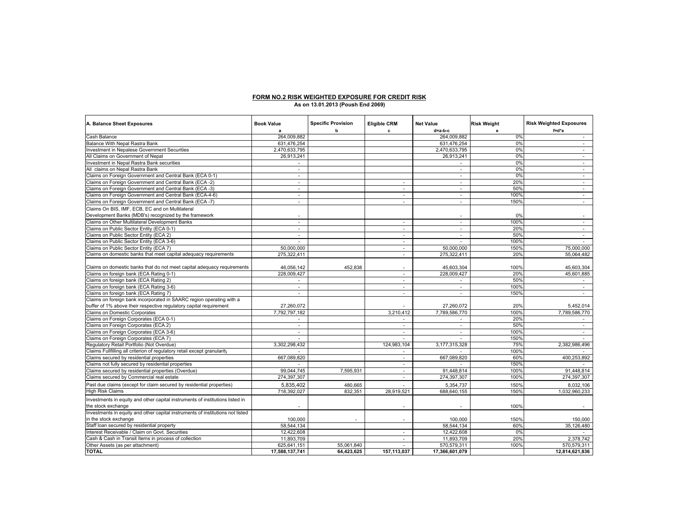# **FORM NO.2 RISK WEIGHTED EXPOSURE FOR CREDIT RISK As on 13.01.2013 (Poush End 2069)**

| A. Balance Sheet Exposures                                                                               | <b>Book Value</b><br>a   | <b>Specific Provision</b><br>b | <b>Eligible CRM</b><br>c | <b>Net Value</b><br>d=a-b-c | <b>Risk Weight</b><br>e | <b>Risk Weighted Exposures</b><br>f=d*e |
|----------------------------------------------------------------------------------------------------------|--------------------------|--------------------------------|--------------------------|-----------------------------|-------------------------|-----------------------------------------|
| Cash Balance                                                                                             | 264,009,882              |                                |                          | 264,009,882                 | 0%                      | $\sim$                                  |
| Balance With Nepal Rastra Bank                                                                           | 631,476,254              |                                |                          | 631,476,254                 | 0%                      | $\sim$                                  |
| Investment in Nepalese Government Securities                                                             | 2,470,633,795            |                                |                          | 2,470,633,795               | 0%                      | $\sim$                                  |
| All Claims on Government of Nepal                                                                        | 26,913,241               |                                |                          | 26,913,241                  | 0%                      | ×.                                      |
| Investment in Nepal Rastra Bank securities                                                               |                          |                                |                          |                             | 0%                      | ÷.                                      |
| All claims on Nepal Rastra Bank                                                                          | $\sim$                   |                                |                          | $\sim$                      | 0%                      | $\sim$                                  |
| Claims on Foreign Government and Central Bank (ECA 0-1)                                                  | $\overline{\phantom{a}}$ |                                |                          | $\sim$                      | 0%                      | $\sim$                                  |
| Claims on Foreign Government and Central Bank (ECA -2)                                                   | $\sim$                   |                                | $\sim$                   | $\sim$                      | 20%                     | $\sim$                                  |
| Claims on Foreign Government and Central Bank (ECA -3)                                                   | $\sim$                   |                                | ÷.                       | $\sim$                      | 50%                     | $\sim$                                  |
| Claims on Foreign Government and Central Bank (ECA-4-6)                                                  | $\sim$                   |                                | $\sim$                   | $\sim$                      | 100%                    | $\sim$                                  |
|                                                                                                          | $\overline{\phantom{a}}$ |                                | ٠                        | $\sim$                      | 150%                    |                                         |
| Claims on Foreign Government and Central Bank (ECA -7)                                                   |                          |                                |                          |                             |                         |                                         |
| Claims On BIS, IMF, ECB, EC and on Multilateral<br>Development Banks (MDB's) recognized by the framework |                          |                                |                          |                             | 0%                      |                                         |
| Claims on Other Multilateral Development Banks                                                           | $\sim$                   |                                | ÷.                       | $\sim$                      | 100%                    | $\sim$                                  |
| Claims on Public Sector Entity (ECA 0-1)                                                                 |                          |                                | ٠                        | $\sim$                      | 20%                     | $\sim$                                  |
| Claims on Public Sector Entity (ECA 2)                                                                   | $\overline{\phantom{a}}$ |                                | ٠                        | ٠                           | 50%                     | ÷.                                      |
| Claims on Public Sector Entity (ECA 3-6)                                                                 |                          |                                | ÷.                       | $\sim$                      | 100%                    |                                         |
| Claims on Public Sector Entity (ECA 7)                                                                   | 50.000.000               |                                | ×.                       | 50.000.000                  | 150%                    | 75,000,000                              |
| Claims on domestic banks that meet capital adequacy requirements                                         | 275,322,411              |                                | $\sim$                   | 275,322,411                 | 20%                     | 55,064,482                              |
|                                                                                                          |                          |                                |                          |                             |                         |                                         |
| Claims on domestic banks that do not meet capital adequacy requirements                                  | 46,056,142               | 452,838                        |                          | 45,603,304                  | 100%                    | 45,603,304                              |
| Claims on foreign bank (ECA Rating 0-1)                                                                  | 228.009.427              |                                | ٠                        | 228.009.427                 | 20%                     | 45.601.885                              |
| Claims on foreign bank (ECA Rating 2)                                                                    |                          |                                | ٠                        |                             | 50%                     |                                         |
| Claims on foreign bank (ECA Rating 3-6)                                                                  | $\sim$                   |                                | ÷.                       | $\sim$                      | 100%                    | $\sim$                                  |
| Claims on foreign bank (ECA Rating 7)                                                                    | $\sim$                   |                                | ×.                       | $\sim$                      | 150%                    | $\sim$                                  |
| Claims on foreign bank incorporated in SAARC region operating with a                                     |                          |                                |                          |                             |                         |                                         |
| buffer of 1% above their respective regulatory capital requirement                                       | 27,260,072               |                                |                          | 27,260,072                  | 20%                     | 5,452,014                               |
| Claims on Domestic Corporates                                                                            | 7,792,797,182            |                                | 3,210,412                | 7,789,586,770               | 100%                    | 7.789.586.770                           |
| Claims on Foreign Corporates (ECA 0-1)                                                                   |                          |                                |                          |                             | 20%                     |                                         |
| Claims on Foreign Corporates (ECA 2)                                                                     |                          |                                | ٠                        | ٠                           | 50%                     |                                         |
| Claims on Foreign Corporates (ECA 3-6)                                                                   | $\sim$                   |                                | ٠                        | $\sim$                      | 100%                    | $\sim$                                  |
| Claims on Foreign Corporates (ECA 7)                                                                     | $\sim$                   |                                | ×.                       | $\sim$                      | 150%                    |                                         |
| Regulatory Retail Portfolio (Not Overdue)                                                                | 3,302,298,432            |                                | 124,983,104              | 3,177,315,328               | 75%                     | 2,382,986,496                           |
| Claims Fullfilling all criterion of regulatory retail except granularity                                 |                          |                                | ÷.                       |                             | 100%                    |                                         |
| Claims secured by residential properties                                                                 | 667,089,820              |                                | $\sim$                   | 667,089,820                 | 60%                     | 400,253,892                             |
| Claims not fully secured by residential properties                                                       |                          |                                | ٠                        |                             | 150%                    |                                         |
| Claims secured by residential properties (Overdue)                                                       | 99,044,745               | 7,595,931                      | ×.                       | 91,448,814                  | 100%                    | 91,448,814                              |
| Claims secured by Commercial real estate                                                                 | 274,397,307              |                                | ٠                        | 274,397,307                 | 100%                    | 274,397,307                             |
| Past due claims (except for claim secured by residential properties)                                     | 5,835,402                | 480,665                        |                          | 5,354,737                   | 150%                    | 8,032,106                               |
| <b>High Risk Claims</b>                                                                                  | 718,392,027              | 832.351                        | 28.919.521               | 688.640.155                 | 150%                    | 1,032,960,233                           |
|                                                                                                          |                          |                                |                          |                             |                         |                                         |
| Investments in equity and other capital instruments of institutions listed in                            |                          |                                |                          |                             |                         |                                         |
| the stock exchange                                                                                       |                          |                                |                          |                             | 100%                    |                                         |
| Investments in equity and other capital instruments of institutions not listed                           |                          |                                |                          |                             |                         |                                         |
| in the stock exchange                                                                                    | 100,000                  | ٠                              |                          | 100.000                     | 150%                    | 150,000                                 |
| Staff loan secured by residential property                                                               | 58,544,134               |                                |                          | 58,544,134                  | 60%                     | 35,126,480                              |
| Interest Receivable / Claim on Govt. Securities                                                          | 12,422,608               |                                | ×.                       | 12,422,608                  | 0%                      |                                         |
| Cash & Cash in Transit Items in process of collection                                                    | 11.893.709               |                                | ٠                        | 11.893.709                  | 20%                     | 2.378.742                               |
| Other Assets (as per attachment)                                                                         | 625,641,151              | 55.061.840                     |                          | 570,579,311                 | 100%                    | 570,579,311                             |
| <b>TOTAL</b>                                                                                             | 17,588,137,741           | 64,423,625                     | 157,113,037              | 17,366,601,079              |                         | 12,814,621,836                          |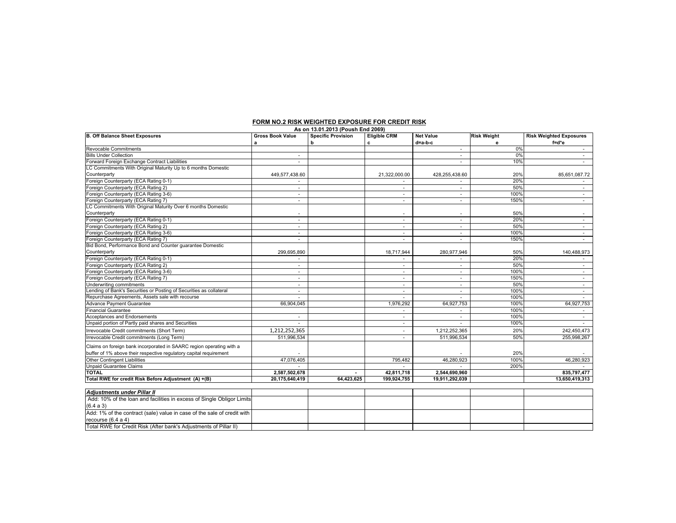| As on 13.01.2013 (Poush End 2069)                                       |                          |                           |                     |                          |                    |                                |
|-------------------------------------------------------------------------|--------------------------|---------------------------|---------------------|--------------------------|--------------------|--------------------------------|
| <b>B. Off Balance Sheet Exposures</b>                                   | <b>Gross Book Value</b>  | <b>Specific Provision</b> | <b>Eligible CRM</b> | <b>Net Value</b>         | <b>Risk Weight</b> | <b>Risk Weighted Exposures</b> |
|                                                                         | a                        | b                         | c                   | d=a-b-c                  | е                  | f=d*e                          |
| Revocable Commitments                                                   |                          |                           |                     |                          | 0%                 |                                |
| <b>Bills Under Collection</b>                                           |                          |                           |                     | ٠                        | 0%                 | ٠                              |
| Forward Foreign Exchange Contract Liabilities                           | $\sim$                   |                           |                     |                          | 10%                |                                |
| LC Commitments With Original Maturity Up to 6 months Domestic           |                          |                           |                     |                          |                    |                                |
| Counterparty                                                            | 449,577,438.60           |                           | 21,322,000.00       | 428,255,438.60           | 20%                | 85,651,087.72                  |
| Foreign Counterparty (ECA Rating 0-1)                                   |                          |                           |                     |                          | 20%                |                                |
| Foreign Counterparty (ECA Rating 2)                                     | $\sim$                   |                           | $\sim$              | ÷.                       | 50%                | ٠                              |
| Foreign Counterparty (ECA Rating 3-6)                                   |                          |                           |                     | ٠                        | 100%               | ٠                              |
| Foreign Counterparty (ECA Rating 7)                                     | $\sim$                   |                           | $\sim$              | $\sim$                   | 150%               | $\sim$                         |
| LC Commitments With Original Maturity Over 6 months Domestic            |                          |                           |                     |                          |                    |                                |
| Counterparty                                                            |                          |                           |                     |                          | 50%                | ٠                              |
| Foreign Counterparty (ECA Rating 0-1)                                   | $\sim$                   |                           | $\sim$              | ÷                        | 20%                | $\sim$                         |
| Foreign Counterparty (ECA Rating 2)                                     | $\sim$                   |                           | $\sim$              | ÷                        | 50%                | ٠                              |
| Foreign Counterparty (ECA Rating 3-6)                                   | $\sim$                   |                           | $\sim$              | ٠                        | 100%               | ٠                              |
| Foreign Counterparty (ECA Rating 7)                                     | $\sim$                   |                           | $\sim$              | $\overline{\phantom{a}}$ | 150%               | $\sim$                         |
| Bid Bond, Performance Bond and Counter guarantee Domestic               |                          |                           |                     |                          |                    |                                |
| Counterparty                                                            | 299,695,890              |                           | 18,717,944          | 280,977,946              | 50%                | 140,488,973                    |
| Foreign Counterparty (ECA Rating 0-1)                                   |                          |                           |                     |                          | 20%                |                                |
| Foreign Counterparty (ECA Rating 2)                                     | $\overline{\phantom{a}}$ |                           | $\sim$              | ÷.                       | 50%                | ٠                              |
| Foreign Counterparty (ECA Rating 3-6)                                   |                          |                           | ж.                  | ۰                        | 100%               |                                |
| Foreign Counterparty (ECA Rating 7)                                     | $\sim$                   |                           | $\sim$              | $\sim$                   | 150%               | $\sim$                         |
| Underwriting commitments                                                | $\sim$                   |                           | $\sim$              | $\sim$                   | 50%                | $\sim$                         |
| Lending of Bank's Securities or Posting of Securities as collateral     | $\sim$                   |                           | $\sim$              | ÷.                       | 100%               | ٠                              |
| Repurchase Agreements, Assets sale with recourse                        |                          |                           |                     |                          | 100%               |                                |
| Advance Payment Guarantee                                               | 66,904,045               |                           | 1,976,292           | 64,927,753               | 100%               | 64,927,753                     |
| <b>Financial Guarantee</b>                                              |                          |                           | $\sim$              | $\sim$                   | 100%               |                                |
| Acceptances and Endorsements                                            | $\overline{\phantom{a}}$ |                           | $\sim$              | $\sim$                   | 100%               | $\sim$                         |
| Unpaid portion of Partly paid shares and Securities                     | $\sim$                   |                           | $\sim$              | $\sim$                   | 100%               | $\sim$                         |
| Irrevocable Credit commitments (Short Term)                             | 1,212,252,365            |                           | $\sim$              | 1,212,252,365            | 20%                | 242,450,473                    |
| Irrevocable Credit commitments (Long Term)                              | 511,996,534              |                           | $\sim$              | 511,996,534              | 50%                | 255.998.267                    |
|                                                                         |                          |                           |                     |                          |                    |                                |
| Claims on foreign bank incorporated in SAARC region operating with a    |                          |                           |                     |                          |                    |                                |
| buffer of 1% above their respective regulatory capital requirement      |                          |                           |                     |                          | 20%                |                                |
| <b>Other Contingent Liabilities</b>                                     | 47,076,405               |                           | 795,482             | 46,280,923               | 100%               | 46,280,923                     |
| <b>Unpaid Guarantee Claims</b>                                          |                          |                           |                     |                          | 200%               |                                |
| <b>TOTAL</b>                                                            | 2,587,502,678            |                           | 42,811,718          | 2,544,690,960            |                    | 835,797,477                    |
| Total RWE for credit Risk Before Adjustment (A) +(B)                    | 20,175,640,419           | 64,423,625                | 199,924,755         | 19,911,292,039           |                    | 13,650,419,313                 |
|                                                                         |                          |                           |                     |                          |                    |                                |
| <b>Adiustments under Pillar II</b>                                      |                          |                           |                     |                          |                    |                                |
| Add: 10% of the loan and facilities in excess of Single Obligor Limits  |                          |                           |                     |                          |                    |                                |
| (6.4 a 3)                                                               |                          |                           |                     |                          |                    |                                |
| Add: 1% of the contract (sale) value in case of the sale of credit with |                          |                           |                     |                          |                    |                                |
| recourse (6.4 a 4)                                                      |                          |                           |                     |                          |                    |                                |
| Total RWE for Credit Risk (After bank's Adjustments of Pillar II)       |                          |                           |                     |                          |                    |                                |

#### **FORM NO.2 RISK WEIGHTED EXPOSURE FOR CREDIT RISK**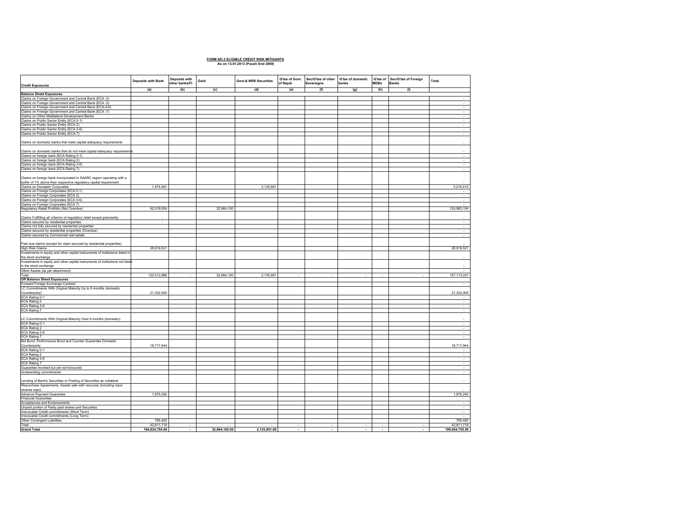### **FORM NO.3 ELIGIBLE CREDIT RISK MITIGANTS As on 13.01.2013 (Poush End 2069)**

| <b>Credit Exposures</b>                                                                                                                    | Deposits with Bank | Deposits with<br>other banks/FI | Gold          | <b>Govt.&amp; NRB Securities</b> | G'tee of Govt.<br>of Nepal | Sec/G'tee of other G'tee of domestic<br>Sovereigns | banks                    | <b>MDBs</b>              | G'tee of Sec/G'tee of Foreign<br><b>Banks</b> | Total            |
|--------------------------------------------------------------------------------------------------------------------------------------------|--------------------|---------------------------------|---------------|----------------------------------|----------------------------|----------------------------------------------------|--------------------------|--------------------------|-----------------------------------------------|------------------|
|                                                                                                                                            | (a)                | (b)                             | (c)           | (d)                              | (e)                        | (f)                                                | (g)                      | (h)                      | (1)                                           |                  |
| <b>Balance Sheet Exposures</b>                                                                                                             |                    |                                 |               |                                  |                            |                                                    |                          |                          |                                               | $\sim$           |
| Claims on Foreign Government and Central Bank (ECA -2)<br>Claims on Foreign Government and Central Bank (ECA -3)                           |                    |                                 |               |                                  |                            |                                                    |                          |                          |                                               | $\sim$           |
| Claims on Foreign Government and Central Bank (ECA-4-6)                                                                                    |                    |                                 |               |                                  |                            |                                                    |                          |                          |                                               | $\sim$           |
| Claims on Foreign Government and Central Bank (ECA -7)                                                                                     |                    |                                 |               |                                  |                            |                                                    |                          |                          |                                               | $\sim$           |
|                                                                                                                                            |                    |                                 |               |                                  |                            |                                                    |                          |                          |                                               | $\sim$           |
| Claims on Other Multilateral Development Banks<br>Claims on Public Sector Entity (ECA 0-1)                                                 |                    |                                 |               |                                  |                            |                                                    |                          |                          |                                               |                  |
| Claims on Public Sector Entity (ECA 2)                                                                                                     |                    |                                 |               |                                  |                            |                                                    |                          |                          |                                               | τ                |
| Claims on Public Sector Entity (ECA 3-6)                                                                                                   |                    |                                 |               |                                  |                            |                                                    |                          |                          |                                               | ÷.               |
| Claims on Public Sector Entity (ECA 7)                                                                                                     |                    |                                 |               |                                  |                            |                                                    |                          |                          |                                               | $\sim$           |
| Claims on domestic banks that meet capital adequacy requirements                                                                           |                    |                                 |               |                                  |                            |                                                    |                          |                          |                                               |                  |
| Claims on domestic banks that do not meet capital adequacy requirements                                                                    |                    |                                 |               |                                  |                            |                                                    |                          |                          |                                               |                  |
|                                                                                                                                            |                    |                                 |               |                                  |                            |                                                    |                          |                          |                                               | $\sim$           |
| Claims on foreign bank (ECA Rating 0-1)<br>Claims on foreign bank (ECA Rating 2)                                                           |                    |                                 |               |                                  |                            |                                                    |                          |                          |                                               | $\sim$           |
| Claims on foreign bank (ECA Rating 3-6)                                                                                                    |                    |                                 |               |                                  |                            |                                                    |                          |                          |                                               | $\sim$           |
| Claims on foreign bank (ECA Rating 7)                                                                                                      |                    |                                 |               |                                  |                            |                                                    |                          |                          |                                               | $\sim$           |
| Claims on foreign bank incorporated in SAARC region operating with a<br>buffer of 1% above their respective regulatory capital requirement |                    |                                 |               |                                  |                            |                                                    |                          |                          |                                               |                  |
| Claims on Domestic Corporates                                                                                                              | 1.074.461          |                                 |               | 2,135,951                        |                            |                                                    |                          |                          |                                               | 3,210,412        |
| Claims on Foreign Corporates (ECA 0-1)                                                                                                     |                    |                                 |               |                                  |                            |                                                    |                          |                          |                                               |                  |
| Claims on Foreign Corporates (ECA 2)<br>Claims on Foreign Corporates (ECA 3-6)                                                             |                    |                                 |               |                                  |                            |                                                    |                          |                          |                                               | $\sim$           |
|                                                                                                                                            |                    |                                 |               |                                  |                            |                                                    |                          |                          |                                               | $\sim$           |
| Claims on Foreign Corporates (ECA 7)                                                                                                       |                    |                                 |               |                                  |                            |                                                    |                          |                          |                                               |                  |
| Regulatory Retail Portfolio (Not Overdue)                                                                                                  | 92,019,004         |                                 | 32,964,100    |                                  |                            |                                                    |                          |                          |                                               | 124,983,104      |
| Claims Fullfilling all criterion of regulatory retail except granularity<br>Claims secured by residential properties                       | ÷                  |                                 |               |                                  |                            |                                                    |                          |                          |                                               | $\sim$           |
|                                                                                                                                            |                    |                                 |               |                                  |                            |                                                    |                          |                          |                                               |                  |
| Claims not fully secured by residential properties<br>Claims secured by residential properties (Overdue)                                   |                    |                                 |               |                                  |                            |                                                    |                          |                          |                                               | $\sim$           |
| Claims secured by Commercial real estate                                                                                                   |                    |                                 |               |                                  |                            |                                                    |                          |                          |                                               | $\sim$<br>$\sim$ |
|                                                                                                                                            |                    |                                 |               |                                  |                            |                                                    |                          |                          |                                               |                  |
| Past due claims (except for claim secured by residential properties)                                                                       |                    |                                 |               |                                  |                            |                                                    |                          |                          |                                               |                  |
| <b>High Risk Claims</b>                                                                                                                    | 28,919,521         |                                 |               |                                  |                            |                                                    |                          |                          |                                               | 28,919,521       |
| Investments in equity and other capital instruments of institutions listed in                                                              |                    |                                 |               |                                  |                            |                                                    |                          |                          |                                               |                  |
| the stock exchange                                                                                                                         |                    |                                 |               |                                  |                            |                                                    |                          |                          |                                               |                  |
| Investments in equity and other capital instruments of institutions not listed<br>in the stock exchange                                    |                    |                                 |               |                                  |                            |                                                    |                          |                          |                                               |                  |
| Other Assets (as per attachment)                                                                                                           |                    |                                 |               |                                  |                            |                                                    |                          |                          |                                               |                  |
| Total                                                                                                                                      | 122,012,986        |                                 | 32,964,100    | 2,135,951                        |                            |                                                    |                          | ÷                        | ÷,                                            | 157, 113, 037    |
| Off Balance Sheet Exposures                                                                                                                |                    |                                 |               |                                  |                            |                                                    |                          |                          |                                               |                  |
| Forward Foreign Exchange Contract                                                                                                          |                    |                                 |               |                                  |                            |                                                    |                          |                          |                                               | $\sim$           |
| LC Commitments With Original Maturity Up to 6 months (domestic                                                                             |                    |                                 |               |                                  |                            |                                                    |                          |                          |                                               |                  |
| Counterparty)<br>ECA Rating 0-1                                                                                                            | 21,322,000         |                                 |               |                                  |                            |                                                    |                          |                          |                                               | 21,322,000       |
|                                                                                                                                            |                    |                                 |               |                                  |                            |                                                    |                          |                          |                                               |                  |
| ECA Rating 2                                                                                                                               |                    |                                 |               |                                  |                            |                                                    |                          |                          |                                               | $\sim$           |
| ECA Rating 3-6                                                                                                                             |                    |                                 |               |                                  |                            |                                                    |                          |                          |                                               | $\sim$           |
| ECA Rating 7                                                                                                                               |                    |                                 |               |                                  |                            |                                                    |                          |                          |                                               | $\sim$           |
| LC Commitments With Original Maturity Over 6 months (domestic)<br>ECA Rating 0-1<br>ECA Rating 2                                           |                    |                                 |               |                                  |                            |                                                    |                          |                          |                                               |                  |
|                                                                                                                                            |                    |                                 |               |                                  |                            |                                                    |                          |                          |                                               | τ                |
| ECA Rating 3-6                                                                                                                             |                    |                                 |               |                                  |                            |                                                    |                          |                          |                                               | ÷                |
| ECA Rating 7                                                                                                                               |                    |                                 |               |                                  |                            |                                                    |                          |                          |                                               | $\sim 10$        |
| Bid Bond, Performance Bond and Counter Guarantee Domestic                                                                                  |                    |                                 |               |                                  |                            |                                                    |                          |                          |                                               |                  |
| Counterparty                                                                                                                               | 18,717,944         |                                 |               |                                  |                            |                                                    |                          |                          |                                               | 18,717,944       |
| ECA Rating 0-1                                                                                                                             |                    |                                 |               |                                  |                            |                                                    |                          |                          |                                               |                  |
| <b>ECA Rating 2</b>                                                                                                                        |                    |                                 |               |                                  |                            |                                                    |                          |                          |                                               |                  |
| ECA Rating 3-6                                                                                                                             |                    |                                 |               |                                  |                            |                                                    |                          |                          |                                               | $\sim$           |
| ECA Rating 7                                                                                                                               |                    |                                 |               |                                  |                            |                                                    |                          |                          |                                               | $\sim$           |
| Guarantee Invoked but yet not honoured                                                                                                     |                    |                                 |               |                                  |                            |                                                    |                          |                          |                                               | $\sim$           |
| Underwriting commitments                                                                                                                   |                    |                                 |               |                                  |                            |                                                    |                          |                          |                                               | $\sim$           |
|                                                                                                                                            |                    |                                 |               |                                  |                            |                                                    |                          |                          |                                               |                  |
| Lending of Bank's Securities or Posting of Securities as collateral                                                                        |                    |                                 |               |                                  |                            |                                                    |                          |                          |                                               |                  |
| Repurchase Agreements, Assets sale with recourse (including repo/                                                                          |                    |                                 |               |                                  |                            |                                                    |                          |                          |                                               |                  |
| reverse repo)                                                                                                                              |                    |                                 |               |                                  |                            |                                                    |                          |                          |                                               |                  |
| Advance Payment Guarantee                                                                                                                  | 1,976,292          |                                 |               |                                  |                            |                                                    |                          |                          |                                               | 1,976,292        |
| <b>Financial Guarantee</b>                                                                                                                 |                    |                                 |               |                                  |                            |                                                    |                          |                          |                                               | $\sim$           |
| Acceptances and Endorsements<br>Unpaid portion of Partly paid shares and Securities                                                        |                    |                                 |               |                                  |                            |                                                    |                          |                          |                                               | $\sim$           |
| Irrevocable Credit commitments (Short Term)                                                                                                |                    |                                 |               |                                  |                            |                                                    |                          |                          |                                               | $\sim$           |
| Irrevocable Credit commitments (Long Term)                                                                                                 |                    |                                 |               |                                  |                            |                                                    |                          |                          |                                               |                  |
| Other Contingent Liabilities                                                                                                               | 795,482            |                                 |               |                                  |                            |                                                    |                          |                          |                                               | 795,482          |
|                                                                                                                                            | 42,811,718         |                                 |               |                                  |                            |                                                    |                          |                          |                                               | 42,811,718       |
| Total<br>Grand Total                                                                                                                       | 164,824,704.00     | $\blacksquare$                  | 32,964,100.00 | 2,135,951.00                     | $\cdot$                    | $\overline{\phantom{a}}$                           | $\overline{\phantom{a}}$ | $\overline{\phantom{a}}$ | $\blacksquare$                                | 199,924,755.00   |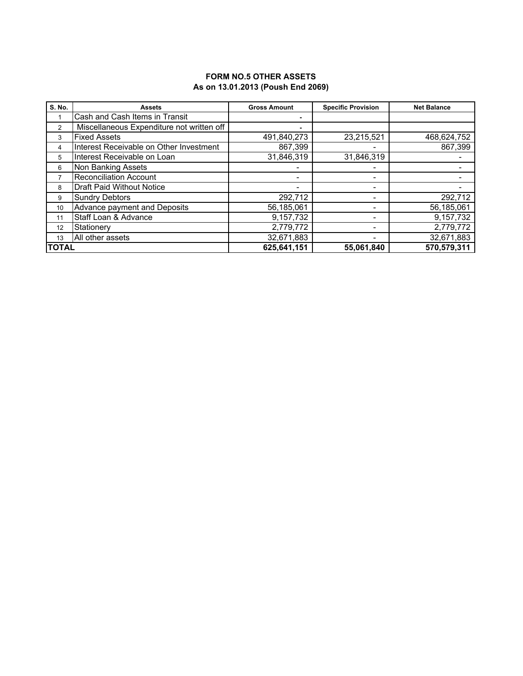### **FORM NO.5 OTHER ASSETS As on 13.01.2013 (Poush End 2069)**

| <b>S. No.</b> | <b>Assets</b>                             | <b>Gross Amount</b> | <b>Specific Provision</b> | <b>Net Balance</b> |
|---------------|-------------------------------------------|---------------------|---------------------------|--------------------|
|               | Cash and Cash Items in Transit            |                     |                           |                    |
| 2             | Miscellaneous Expenditure not written off | $\blacksquare$      |                           |                    |
| 3             | <b>Fixed Assets</b>                       | 491,840,273         | 23,215,521                | 468,624,752        |
| 4             | Interest Receivable on Other Investment   | 867,399             |                           | 867,399            |
| 5             | Interest Receivable on Loan               | 31,846,319          | 31,846,319                |                    |
| 6             | Non Banking Assets                        |                     |                           |                    |
|               | <b>Reconciliation Account</b>             |                     | ٠                         |                    |
| 8             | <b>Draft Paid Without Notice</b>          | ٠                   | -                         |                    |
| 9             | <b>Sundry Debtors</b>                     | 292,712             | $\overline{\phantom{0}}$  | 292,712            |
| 10            | Advance payment and Deposits              | 56,185,061          | ٠                         | 56,185,061         |
| 11            | Staff Loan & Advance                      | 9,157,732           | -                         | 9,157,732          |
| 12            | Stationery                                | 2,779,772           | $\overline{\phantom{0}}$  | 2,779,772          |
| 13            | All other assets                          | 32,671,883          |                           | 32,671,883         |
| <b>TOTAL</b>  |                                           | 625,641,151         | 55.061.840                | 570,579,311        |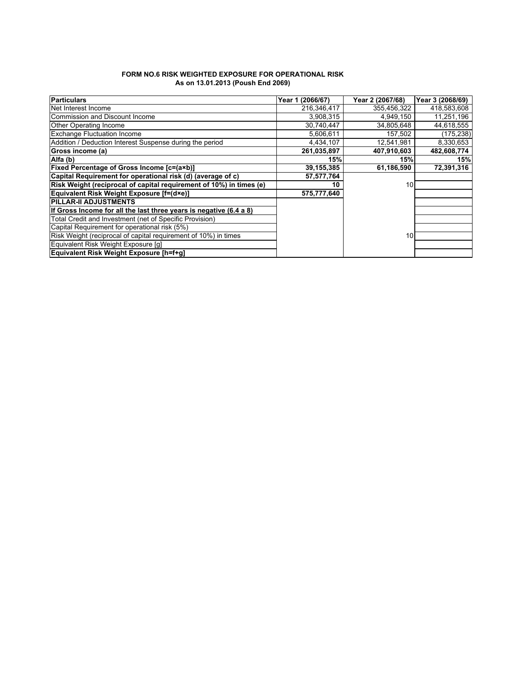| FORM NO.6 RISK WEIGHTED EXPOSURE FOR OPERATIONAL RISK |  |
|-------------------------------------------------------|--|
| As on 13.01.2013 (Poush End 2069)                     |  |

| <b>Particulars</b>                                                  | (2066/67)<br>Year 1 | Year 2 (2067/68) | Year 3 (2068/69) |
|---------------------------------------------------------------------|---------------------|------------------|------------------|
| Net Interest Income                                                 | 216,346,417         | 355,456,322      | 418,583,608      |
| Commission and Discount Income                                      | 3,908,315           | 4,949,150        | 11,251,196       |
| Other Operating Income                                              | 30,740,447          | 34,805,648       | 44,618,555       |
| <b>Exchange Fluctuation Income</b>                                  | 5.606.611           | 157,502          | (175,238)        |
| Addition / Deduction Interest Suspense during the period            | 4,434,107           | 12,541,981       | 8,330,653        |
| Gross income (a)                                                    | 261,035,897         | 407,910,603      | 482,608,774      |
| Alfa (b)                                                            | 15%                 | 15%              | 15%              |
| Fixed Percentage of Gross Income [c=(a×b)]                          | 39,155,385          | 61,186,590       | 72,391,316       |
| Capital Requirement for operational risk (d) (average of c)         | 57,577,764          |                  |                  |
| Risk Weight (reciprocal of capital requirement of 10%) in times (e) | 10                  | 10               |                  |
| Equivalent Risk Weight Exposure [f=(d×e)]                           | 575,777,640         |                  |                  |
| <b>PILLAR-II ADJUSTMENTS</b>                                        |                     |                  |                  |
| If Gross Income for all the last three years is negative (6.4 a 8)  |                     |                  |                  |
| Total Credit and Investment (net of Specific Provision)             |                     |                  |                  |
| Capital Requirement for operational risk (5%)                       |                     |                  |                  |
| Risk Weight (reciprocal of capital requirement of 10%) in times     |                     | 10               |                  |
| Equivalent Risk Weight Exposure [q]                                 |                     |                  |                  |
| Equivalent Risk Weight Exposure [h=f+g]                             |                     |                  |                  |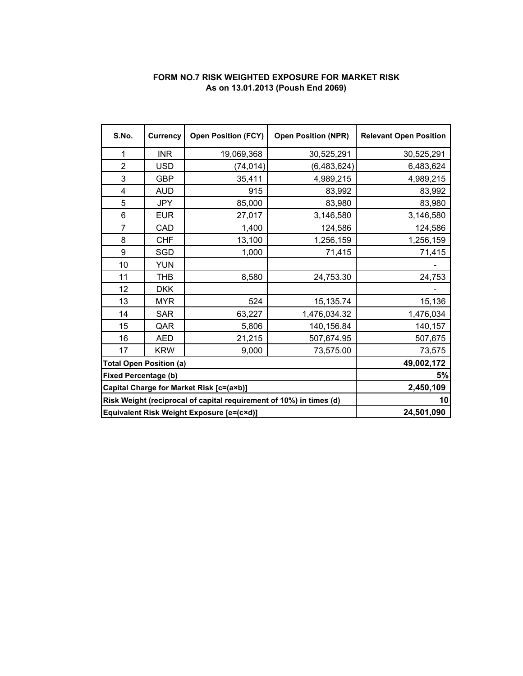## **FORM NO.7 RISK WEIGHTED EXPOSURE FOR MARKET RISK As on 13.01.2013 (Poush End 2069)**

| S.No.                       | <b>Currency</b>                                                     | <b>Open Position (FCY)</b> | <b>Open Position (NPR)</b> | <b>Relevant Open Position</b> |
|-----------------------------|---------------------------------------------------------------------|----------------------------|----------------------------|-------------------------------|
| 1                           | <b>INR</b>                                                          | 19,069,368                 | 30,525,291                 | 30,525,291                    |
| $\overline{2}$              | <b>USD</b>                                                          | (74, 014)                  | (6,483,624)                | 6,483,624                     |
| 3                           | <b>GBP</b>                                                          | 35,411                     | 4,989,215                  | 4,989,215                     |
| 4                           | <b>AUD</b>                                                          | 915                        | 83,992                     | 83,992                        |
| 5                           | <b>JPY</b>                                                          | 85,000                     | 83,980                     | 83,980                        |
| 6                           | <b>EUR</b>                                                          | 27,017                     | 3,146,580                  | 3,146,580                     |
| $\overline{7}$              | CAD                                                                 | 1,400                      | 124,586                    | 124,586                       |
| 8                           | <b>CHF</b>                                                          | 13,100                     | 1,256,159                  | 1,256,159                     |
| 9                           | SGD                                                                 | 1,000                      | 71,415                     | 71,415                        |
| 10                          | <b>YUN</b>                                                          |                            |                            |                               |
| 11                          | <b>THB</b>                                                          | 8,580                      | 24,753.30                  | 24,753                        |
| 12                          | <b>DKK</b>                                                          |                            |                            |                               |
| 13                          | <b>MYR</b>                                                          | 524                        | 15,135.74                  | 15,136                        |
| 14                          | <b>SAR</b>                                                          | 63,227                     | 1,476,034.32               | 1,476,034                     |
| 15                          | QAR                                                                 | 5,806                      | 140,156.84                 | 140,157                       |
| 16                          | <b>AED</b>                                                          | 21,215                     | 507,674.95                 | 507,675                       |
| 17                          | <b>KRW</b>                                                          | 9,000                      | 73,575.00                  | 73,575                        |
|                             | <b>Total Open Position (a)</b>                                      | 49,002,172                 |                            |                               |
| <b>Fixed Percentage (b)</b> |                                                                     | 5%                         |                            |                               |
|                             | Capital Charge for Market Risk [c=(a×b)]                            | 2,450,109                  |                            |                               |
|                             | Risk Weight (reciprocal of capital requirement of 10%) in times (d) | 10                         |                            |                               |
|                             | Equivalent Risk Weight Exposure [e=(c×d)]                           | 24,501,090                 |                            |                               |